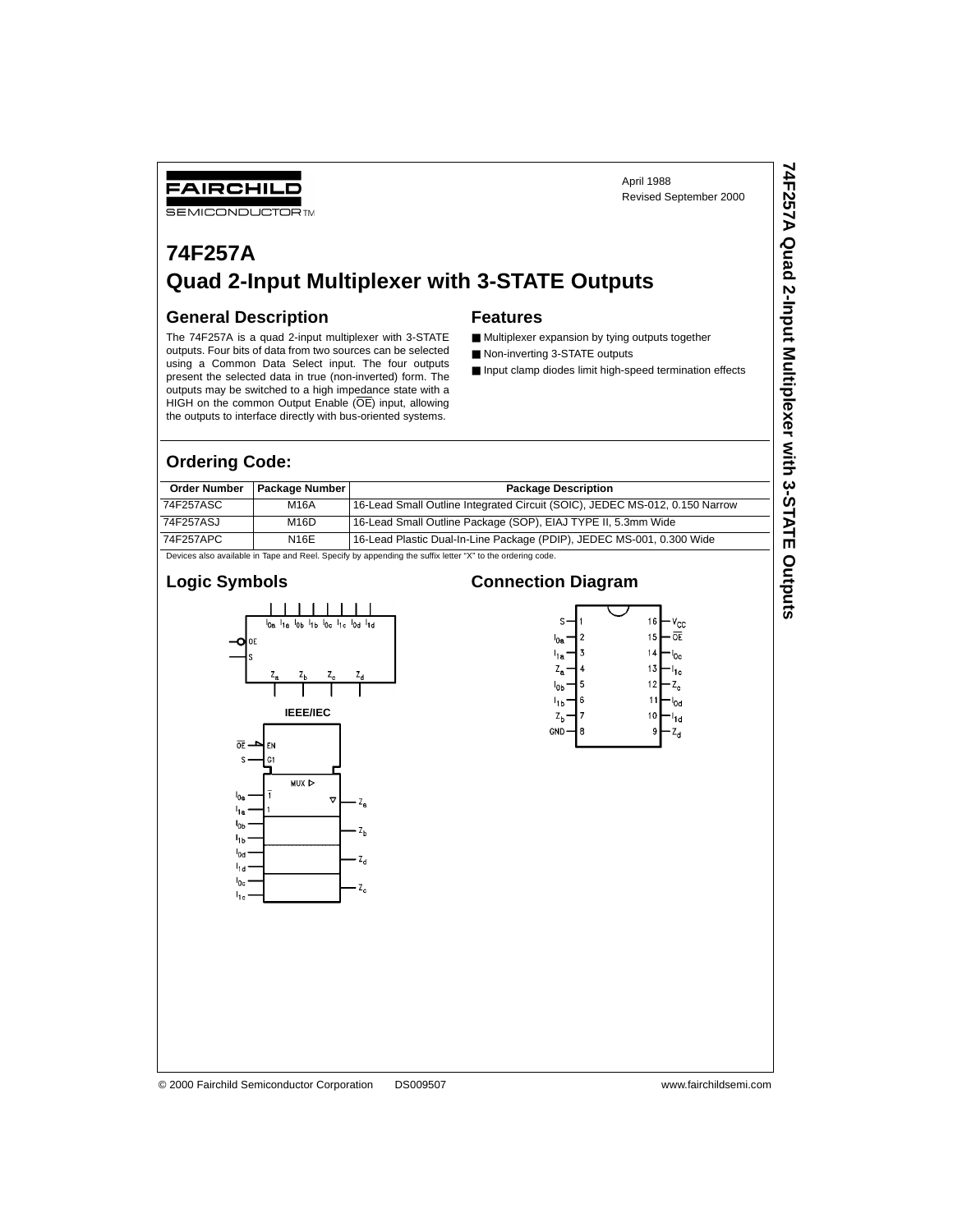## FAIRCHILD

**SEMICONDUCTOR TM** 

# **74F257A Quad 2-Input Multiplexer with 3-STATE Outputs**

#### **General Description**

The 74F257A is a quad 2-input multiplexer with 3-STATE outputs. Four bits of data from two sources can be selected using a Common Data Select input. The four outputs present the selected data in true (non-inverted) form. The outputs may be switched to a high impedance state with a HIGH on the common Output Enable (OE) input, allowing the outputs to interface directly with bus-oriented systems.

#### **Features**

- Multiplexer expansion by tying outputs together
- Non-inverting 3-STATE outputs
- Input clamp diodes limit high-speed termination effects

April 1988

Revised September 2000

#### **Ordering Code:**

| <b>Order Number</b>                                                                                       | <b>Package Number</b> | <b>Package Description</b>                                                  |  |  |  |
|-----------------------------------------------------------------------------------------------------------|-----------------------|-----------------------------------------------------------------------------|--|--|--|
| 74F257ASC                                                                                                 | M16A                  | 16-Lead Small Outline Integrated Circuit (SOIC), JEDEC MS-012, 0.150 Narrow |  |  |  |
| 74F257ASJ                                                                                                 | M16D                  | 16-Lead Small Outline Package (SOP), EIAJ TYPE II, 5.3mm Wide               |  |  |  |
| 74F257APC                                                                                                 | N16E                  | 16-Lead Plastic Dual-In-Line Package (PDIP), JEDEC MS-001, 0.300 Wide       |  |  |  |
| Devices also available in Tape and Reel. Specify by appending the suffix letter "X" to the ordering code. |                       |                                                                             |  |  |  |

#### **Logic Symbols**



#### **Connection Diagram**



© 2000 Fairchild Semiconductor Corporation DS009507 www.fairchildsemi.com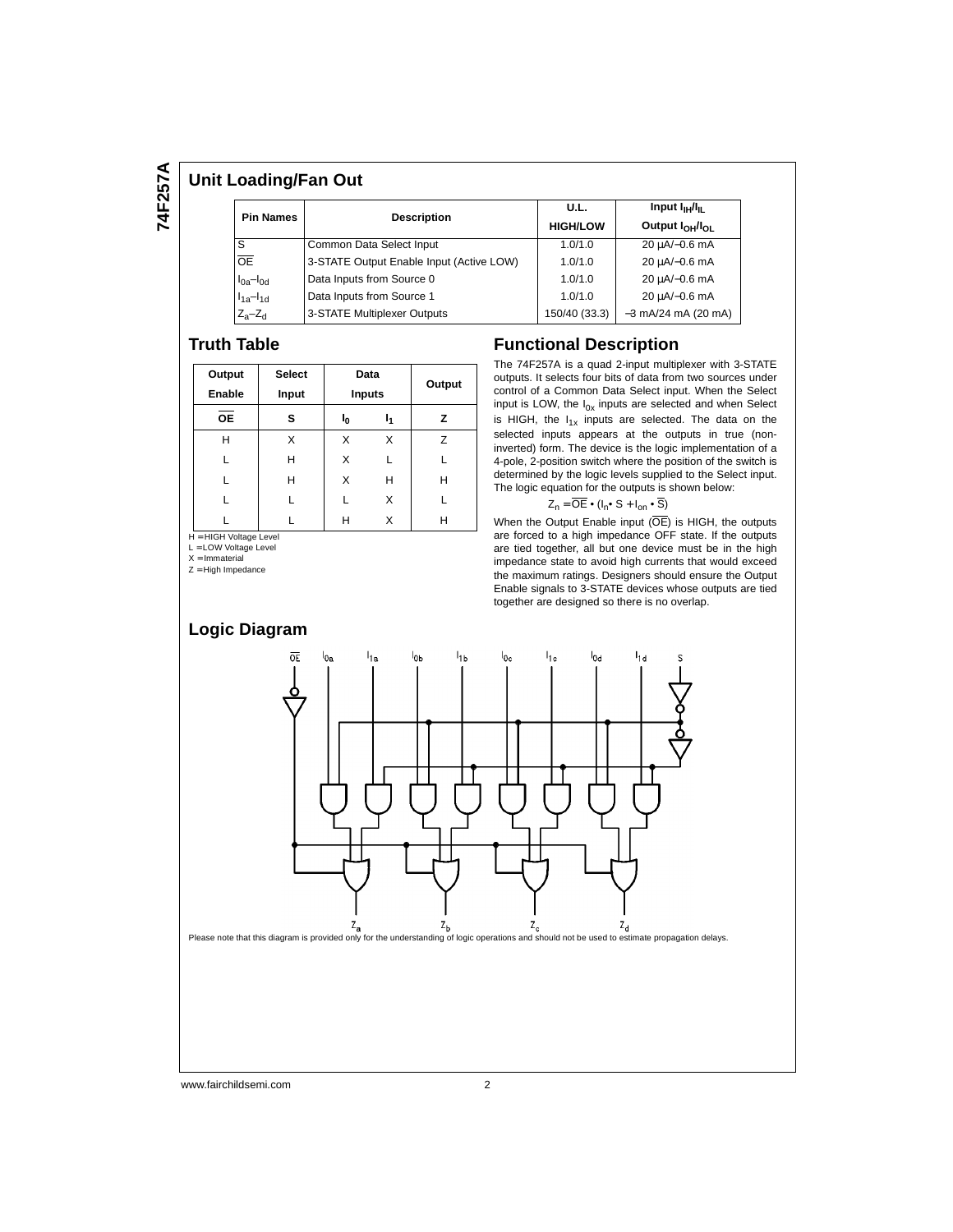#### **Unit Loading/Fan Out**

| <b>Pin Names</b>    |                                          | U.L.            | Input $I_{\text{H}}/I_{\text{H}}$       |  |  |
|---------------------|------------------------------------------|-----------------|-----------------------------------------|--|--|
|                     | <b>Description</b>                       | <b>HIGH/LOW</b> | Output I <sub>OH</sub> /I <sub>OL</sub> |  |  |
| S                   | Common Data Select Input                 | 1.0/1.0         | 20 uA/-0.6 mA                           |  |  |
| $\overline{OE}$     | 3-STATE Output Enable Input (Active LOW) | 1.0/1.0         | 20 µA/-0.6 mA                           |  |  |
| $I_{0a}$ - $I_{0d}$ | Data Inputs from Source 0                | 1.0/1.0         | 20 µA/-0.6 mA                           |  |  |
| $I_{1a} - I_{1d}$   | Data Inputs from Source 1                | 1.0/1.0         | 20 µA/-0.6 mA                           |  |  |
| $Z_a - Z_d$         | 3-STATE Multiplexer Outputs              | 150/40 (33.3)   | $-3$ mA/24 mA (20 mA)                   |  |  |

#### **Truth Table**

| Output    | <b>Select</b>        |               | Data |        |  |  |
|-----------|----------------------|---------------|------|--------|--|--|
| Enable    | Input                | <b>Inputs</b> |      | Output |  |  |
| <b>OE</b> | s                    | ı.            | ь,   | z      |  |  |
| н         | X                    | X             | X    | Z      |  |  |
|           | Н                    | X             | L    |        |  |  |
|           | Н                    | X             | н    | н      |  |  |
|           |                      | L             | X    |        |  |  |
| .         | $\ddot{\phantom{0}}$ | н             | Χ    | н      |  |  |

H = HIGH Voltage Level<br>L = LOW Voltage Level

 $X = Immateria$ 

Z = High Impedance

#### **Functional Description**

The 74F257A is a quad 2-input multiplexer with 3-STATE outputs. It selects four bits of data from two sources under control of a Common Data Select input. When the Select input is LOW, the  $I_{0x}$  inputs are selected and when Select is HIGH, the  $I_{1x}$  inputs are selected. The data on the selected inputs appears at the outputs in true (noninverted) form. The device is the logic implementation of a 4-pole, 2-position switch where the position of the switch is determined by the logic levels supplied to the Select input. The logic equation for the outputs is shown below:

$$
Z_n = \overline{OE} \cdot (I_n \cdot S + I_{on} \cdot \overline{S})
$$

When the Output Enable input  $(\overline{OE})$  is HIGH, the outputs are forced to a high impedance OFF state. If the outputs are tied together, all but one device must be in the high impedance state to avoid high currents that would exceed the maximum ratings. Designers should ensure the Output Enable signals to 3-STATE devices whose outputs are tied together are designed so there is no overlap.



www.fairchildsemi.com 2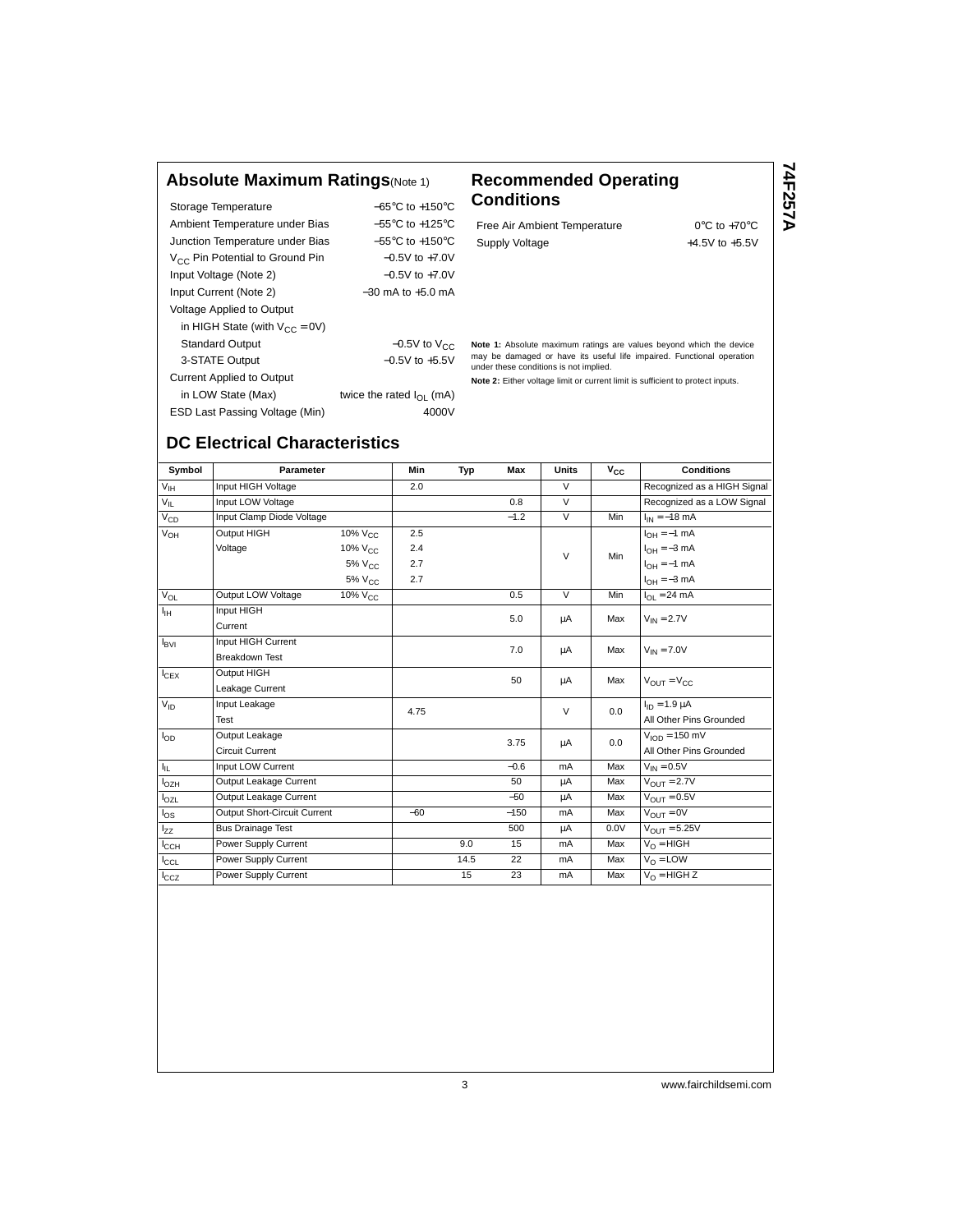#### **Absolute Maximum Ratings**(Note 1) **Recommended Operating**

| Storage Temperature                         | $-65^{\circ}$ C to $+150^{\circ}$ C |  |  |  |  |
|---------------------------------------------|-------------------------------------|--|--|--|--|
| Ambient Temperature under Bias              | $-55^{\circ}$ C to $+125^{\circ}$ C |  |  |  |  |
| Junction Temperature under Bias             | $-55^{\circ}$ C to $+150^{\circ}$ C |  |  |  |  |
| V <sub>CC</sub> Pin Potential to Ground Pin | $-0.5V$ to $+7.0V$                  |  |  |  |  |
| Input Voltage (Note 2)                      | $-0.5V$ to $+7.0V$                  |  |  |  |  |
| Input Current (Note 2)                      | $-30$ mA to $+5.0$ mA               |  |  |  |  |
| Voltage Applied to Output                   |                                     |  |  |  |  |
| in HIGH State (with $V_{CC} = 0V$ )         |                                     |  |  |  |  |
| <b>Standard Output</b>                      | $-0.5V$ to $V_{CC}$                 |  |  |  |  |
| 3-STATE Output                              | $-0.5V$ to $+5.5V$                  |  |  |  |  |
| <b>Current Applied to Output</b>            |                                     |  |  |  |  |
| in LOW State (Max)                          | twice the rated $I_{\Omega}$ (mA)   |  |  |  |  |
| ESD Last Passing Voltage (Min)              | 4000V                               |  |  |  |  |
|                                             |                                     |  |  |  |  |

# **Conditions**

Free Air Ambient Temperature 0°C to +70°C Supply Voltage  $+4.5V$  to  $+5.5V$  74F257A **74F257A**

**Note 1:** Absolute maximum ratings are values beyond which the device may be damaged or have its useful life impaired. Functional operation under these conditions is not implied.

**Note 2:** Either voltage limit or current limit is sufficient to protect inputs.

## **DC Electrical Characteristics**

| Symbol           | Parameter                    |                       | <b>Min</b> | Typ  | Max    | Units          | $V_{\rm CC}$            | <b>Conditions</b>                 |
|------------------|------------------------------|-----------------------|------------|------|--------|----------------|-------------------------|-----------------------------------|
| $V_{\text{IH}}$  | Input HIGH Voltage           |                       | 2.0        |      |        | $\vee$         |                         | Recognized as a HIGH Signal       |
| $V_{IL}$         | Input LOW Voltage            |                       |            |      | 0.8    | $\overline{V}$ |                         | Recognized as a LOW Signal        |
| $V_{CD}$         | Input Clamp Diode Voltage    |                       |            |      | $-1.2$ | $\overline{V}$ | Min                     | $I_{IN} = -18$ mA                 |
| $V_{OH}$         | Output HIGH                  | 10% V <sub>CC</sub>   | 2.5        |      |        |                |                         | $I_{OH} = -1$ mA                  |
|                  | Voltage                      | 10% V <sub>CC</sub>   | 2.4        |      |        | $\vee$         | Min                     | $I_{OH} = -3$ mA                  |
|                  |                              | $5\%$ V <sub>CC</sub> | 2.7        |      |        |                |                         | $I_{OH} = -1$ mA                  |
|                  |                              | 5% V <sub>CC</sub>    | 2.7        |      |        |                |                         | $I_{OH} = -3$ mA                  |
| $V_{OL}$         | Output LOW Voltage           | $10\%$ $V_{C}$        |            |      | 0.5    | $\vee$         | Min                     | $I_{OL} = 24 \text{ mA}$          |
| ŀн               | Input HIGH                   |                       |            |      | 5.0    | μA             | Max                     | $V_{IN} = 2.7V$                   |
|                  | Current                      |                       |            |      |        |                |                         |                                   |
| $I_{\rm BVI}$    | Input HIGH Current           |                       |            |      | 7.0    | μA             | Max                     | $V_{IN} = 7.0V$                   |
|                  | <b>Breakdown Test</b>        |                       |            |      |        |                |                         |                                   |
| $I_{CEX}$        | Output HIGH                  |                       |            |      | 50     | μA             | Max                     | $V_{OUT} = V_{CC}$                |
|                  | Leakage Current              |                       |            |      |        |                |                         |                                   |
| $V_{ID}$         | Input Leakage                |                       | 4.75       |      |        | $\vee$         | 0.0                     | $I_{ID} = 1.9 \mu A$              |
|                  | Test                         |                       |            |      |        |                |                         | All Other Pins Grounded           |
| $I_{OD}$         | Output Leakage               |                       |            |      | 3.75   | μA             | 0.0                     | $V_{\text{ION}} = 150 \text{ mV}$ |
|                  | <b>Circuit Current</b>       |                       |            |      |        |                | All Other Pins Grounded |                                   |
| Ιμ.              | Input LOW Current            |                       |            |      | $-0.6$ | mA             | Max                     | $V_{IN} = 0.5V$                   |
| $I_{OZH}$        | Output Leakage Current       |                       |            |      | 50     | μA             | Max                     | $V_{OIII} = 2.7V$                 |
| $I_{OZL}$        | Output Leakage Current       |                       |            |      | $-50$  | μA             | Max                     | $V_{\text{OUT}} = 0.5V$           |
| $I_{OS}$         | Output Short-Circuit Current |                       | $-60$      |      | $-150$ | mA             | Max                     | $V_{OIIT} = 0V$                   |
| l <sub>zz</sub>  | <b>Bus Drainage Test</b>     |                       |            |      | 500    | μA             | 0.0V                    | $V_{OIIT} = 5.25V$                |
| $I_{\text{CCH}}$ | Power Supply Current         |                       |            | 9.0  | 15     | mA             | Max                     | $V_{\Omega}$ = HIGH               |
| $I_{\rm CCL}$    | Power Supply Current         |                       |            | 14.5 | 22     | mA             | Max                     | $V_0 = LOW$                       |
| $I_{CCZ}$        | Power Supply Current         |                       |            | 15   | 23     | mA             | Max                     | $V_O = HIGH Z$                    |